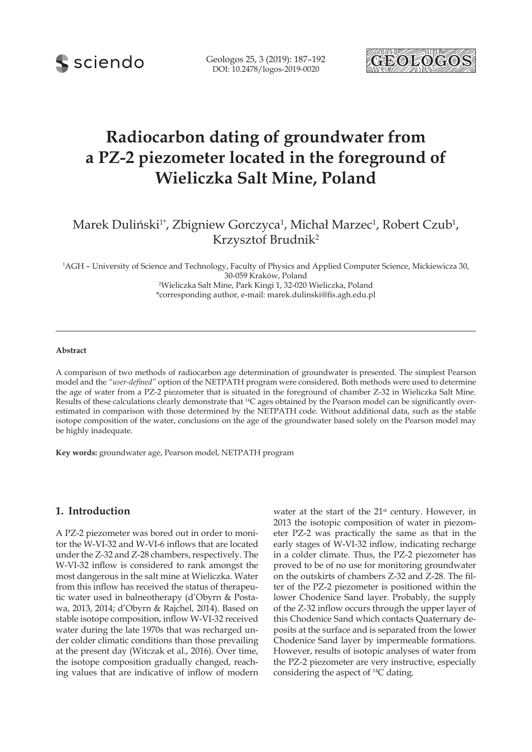sciendo

Geologos 25, 3 (2019): 187–192 DOI: 10.2478/logos-2019-0020



# **Radiocarbon dating of groundwater from a PZ-2 piezometer located in the foreground of Wieliczka Salt Mine, Poland**

# Marek Duliński<sup>1\*</sup>, Zbigniew Gorczyca<sup>1</sup>, Michał Marzec<sup>1</sup>, Robert Czub<sup>1</sup>, Krzysztof Brudnik2

1 AGH – University of Science and Technology, Faculty of Physics and Applied Computer Science, Mickiewicza 30, 30-059 Kraków, Poland 2 Wieliczka Salt Mine, Park Kingi 1, 32-020 Wieliczka, Poland \*corresponding author, e-mail: marek.dulinski@fis.agh.edu.pl

#### **Abstract**

A comparison of two methods of radiocarbon age determination of groundwater is presented. The simplest Pearson model and the *"user-defined"* option of the NETPATH program were considered. Both methods were used to determine the age of water from a PZ-2 piezometer that is situated in the foreground of chamber Z-32 in Wieliczka Salt Mine. Results of these calculations clearly demonstrate that 14C ages obtained by the Pearson model can be significantly overestimated in comparison with those determined by the NETPATH code. Without additional data, such as the stable isotope composition of the water, conclusions on the age of the groundwater based solely on the Pearson model may be highly inadequate.

**Key words:** groundwater age, Pearson model, NETPATH program

### **1. Introduction**

A PZ-2 piezometer was bored out in order to monitor the W-VI-32 and W-VI-6 inflows that are located under the Z-32 and Z-28 chambers, respectively. The W-VI-32 inflow is considered to rank amongst the most dangerous in the salt mine at Wieliczka. Water from this inflow has received the status of therapeutic water used in balneotherapy (d'Obyrn & Postawa, 2013, 2014; d'Obyrn & Rajchel, 2014). Based on stable isotope composition, inflow W-VI-32 received water during the late 1970s that was recharged under colder climatic conditions than those prevailing at the present day (Witczak et al., 2016). Over time, the isotope composition gradually changed, reaching values that are indicative of inflow of modern water at the start of the 21<sup>st</sup> century. However, in 2013 the isotopic composition of water in piezometer PZ-2 was practically the same as that in the early stages of W-VI-32 inflow, indicating recharge in a colder climate. Thus, the PZ-2 piezometer has proved to be of no use for monitoring groundwater on the outskirts of chambers Z-32 and Z-28. The filter of the PZ-2 piezometer is positioned within the lower Chodenice Sand layer. Probably, the supply of the Z-32 inflow occurs through the upper layer of this Chodenice Sand which contacts Quaternary deposits at the surface and is separated from the lower Chodenice Sand layer by impermeable formations. However, results of isotopic analyses of water from the PZ-2 piezometer are very instructive, especially considering the aspect of 14C dating.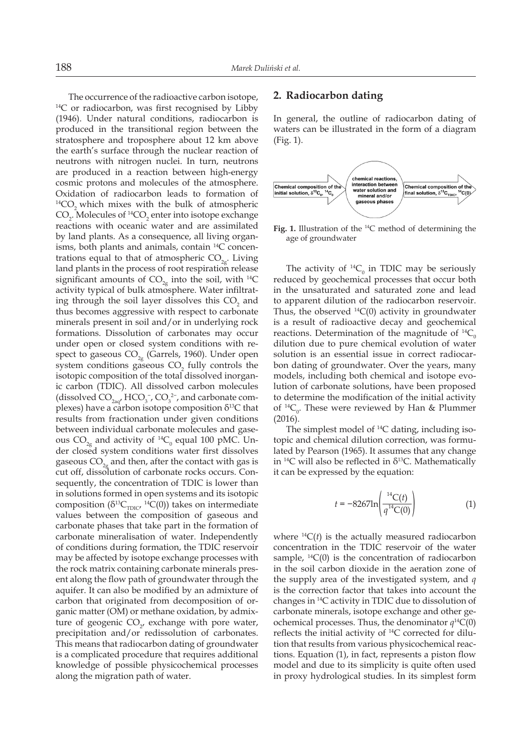The occurrence of the radioactive carbon isotope,<br><sup>14</sup>C or radiocarbon, was first recognised by Libby (1946). Under natural conditions, radiocarbon is produced in the transitional region between the stratosphere and troposphere about 12 km above the earth's surface through the nuclear reaction of neutrons with nitrogen nuclei. In turn, neutrons are produced in a reaction between high-energy cosmic protons and molecules of the atmosphere. Oxidation of radiocarbon leads to formation of  $14CO$ , which mixes with the bulk of atmospheric  $CO<sub>2</sub>$ . Molecules of <sup>14</sup>CO<sub>2</sub> enter into isotope exchange reactions with oceanic water and are assimilated by land plants. As a consequence, all living organisms, both plants and animals, contain 14C concentrations equal to that of atmospheric  $CO_{2g}$ . Living land plants in the process of root respiration release significant amounts of  $CO_{2g}$  into the soil, with <sup>14</sup>C activity typical of bulk atmosphere. Water infiltrating through the soil layer dissolves this  $CO<sub>2</sub>$  and thus becomes aggressive with respect to carbonate minerals present in soil and/or in underlying rock formations. Dissolution of carbonates may occur under open or closed system conditions with respect to gaseous  $CO_{2g}$  (Garrels, 1960). Under open system conditions gaseous  $CO<sub>2</sub>$  fully controls the isotopic composition of the total dissolved inorganic carbon (TDIC). All dissolved carbon molecules (dissolved  $CO_{2aq'}$  HCO<sub>3</sub><sup>-</sup>, CO<sub>3</sub><sup>2-</sup>, and carbonate complexes) have a carbon isotope composition  $\delta^{13}C$  that results from fractionation under given conditions between individual carbonate molecules and gaseous CO<sub>2g</sub> and activity of <sup>14</sup>C<sub>0</sub> equal 100 pMC. Under closed system conditions water first dissolves gaseous  $CO_{2g}$  and then, after the contact with gas is cut off, dissolution of carbonate rocks occurs. Consequently, the concentration of TDIC is lower than in solutions formed in open systems and its isotopic composition ( $\delta^{13}C_{TDIC'}$  <sup>14</sup>C(0)) takes on intermediate values between the composition of gaseous and carbonate phases that take part in the formation of carbonate mineralisation of water. Independently of conditions during formation, the TDIC reservoir may be affected by isotope exchange processes with the rock matrix containing carbonate minerals present along the flow path of groundwater through the aquifer. It can also be modified by an admixture of carbon that originated from decomposition of organic matter (OM) or methane oxidation, by admixture of geogenic  $CO_{2}$ , exchange with pore water, precipitation and/or redissolution of carbonates. This means that radiocarbon dating of groundwater is a complicated procedure that requires additional knowledge of possible physicochemical processes along the migration path of water.

# **2. Radiocarbon dating**

In general, the outline of radiocarbon dating of waters can be illustrated in the form of a diagram (Fig. 1).



**Fig. 1.** Illustration of the 14C method of determining the age of groundwater

The activity of  ${}^{14}C_0$  in TDIC may be seriously reduced by geochemical processes that occur both in the unsaturated and saturated zone and lead to apparent dilution of the radiocarbon reservoir. Thus, the observed  $^{14}C(0)$  activity in groundwater is a result of radioactive decay and geochemical reactions. Determination of the magnitude of  ${}^{14}C_{0}$ dilution due to pure chemical evolution of water solution is an essential issue in correct radiocarbon dating of groundwater. Over the years, many models, including both chemical and isotope evolution of carbonate solutions, have been proposed to determine the modification of the initial activity of  ${}^{14}C_{0}$ . These were reviewed by Han & Plummer (2016).

The simplest model of <sup>14</sup>C dating, including isotopic and chemical dilution correction, was formulated by Pearson (1965). It assumes that any change in  $^{14}$ C will also be reflected in  $\delta$ <sup>13</sup>C. Mathematically it can be expressed by the equation:

$$
t = -8267 \ln \left( \frac{^{14}C(t)}{q^{14}C(0)} \right) \tag{1}
$$

where  $^{14}C(t)$  is the actually measured radiocarbon concentration in the TDIC reservoir of the water sample,  $^{14}C(0)$  is the concentration of radiocarbon in the soil carbon dioxide in the aeration zone of the supply area of the investigated system, and *q* is the correction factor that takes into account the changes in 14C activity in TDIC due to dissolution of carbonate minerals, isotope exchange and other geochemical processes. Thus, the denominator  $q^{14}C(0)$ reflects the initial activity of 14C corrected for dilution that results from various physicochemical reactions. Equation (1), in fact, represents a piston flow model and due to its simplicity is quite often used in proxy hydrological studies. In its simplest form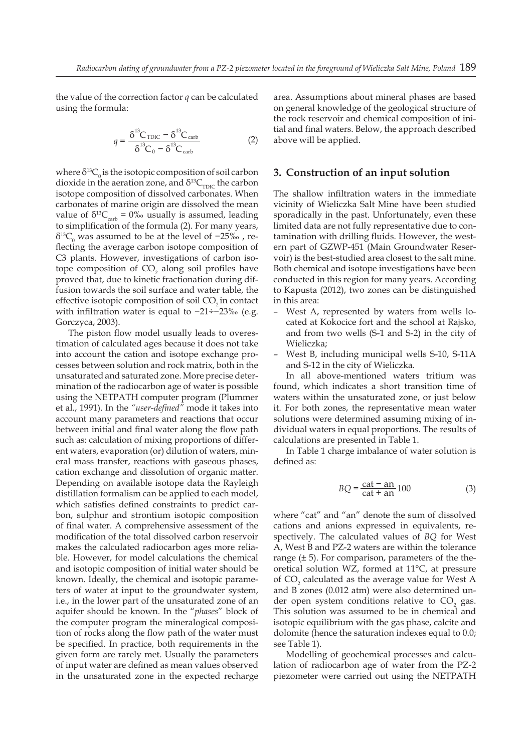the value of the correction factor *q* can be calculated using the formula:

$$
q = \frac{\delta^{13}C_{\text{TDIC}} - \delta^{13}C_{\text{carb}}}{\delta^{13}C_0 - \delta^{13}C_{\text{carb}}}
$$
 (2)

where  $\delta^{13}C_{0}$  is the isotopic composition of soil carbon dioxide in the aeration zone, and  $\delta^{13}C_{\text{TDIC}}$  the carbon isotope composition of dissolved carbonates. When carbonates of marine origin are dissolved the mean value of  $\delta^{13}C_{\text{carb}} = 0\%$  usually is assumed, leading to simplification of the formula (2). For many years, δ<sup>13</sup>C<sub>0</sub> was assumed to be at the level of −25‰ , reflecting the average carbon isotope composition of C3 plants. However, investigations of carbon isotope composition of  $CO<sub>2</sub>$  along soil profiles have proved that, due to kinetic fractionation during diffusion towards the soil surface and water table, the effective isotopic composition of soil CO<sub>2</sub> in contact with infiltration water is equal to −21÷−23‰ (e.g. Gorczyca, 2003).

The piston flow model usually leads to overestimation of calculated ages because it does not take into account the cation and isotope exchange processes between solution and rock matrix, both in the unsaturated and saturated zone. More precise determination of the radiocarbon age of water is possible using the NETPATH computer program (Plummer et al., 1991). In the *"user-defined"* mode it takes into account many parameters and reactions that occur between initial and final water along the flow path such as: calculation of mixing proportions of different waters, evaporation (or) dilution of waters, mineral mass transfer, reactions with gaseous phases, cation exchange and dissolution of organic matter. Depending on available isotope data the Rayleigh distillation formalism can be applied to each model, which satisfies defined constraints to predict carbon, sulphur and strontium isotopic composition of final water. A comprehensive assessment of the modification of the total dissolved carbon reservoir makes the calculated radiocarbon ages more reliable. However, for model calculations the chemical and isotopic composition of initial water should be known. Ideally, the chemical and isotopic parameters of water at input to the groundwater system, i.e., in the lower part of the unsaturated zone of an aquifer should be known. In the "*phases*" block of the computer program the mineralogical composition of rocks along the flow path of the water must be specified. In practice, both requirements in the given form are rarely met. Usually the parameters of input water are defined as mean values observed in the unsaturated zone in the expected recharge area. Assumptions about mineral phases are based on general knowledge of the geological structure of the rock reservoir and chemical composition of initial and final waters. Below, the approach described above will be applied.

#### **3. Construction of an input solution**

The shallow infiltration waters in the immediate vicinity of Wieliczka Salt Mine have been studied sporadically in the past. Unfortunately, even these limited data are not fully representative due to contamination with drilling fluids. However, the western part of GZWP-451 (Main Groundwater Reservoir) is the best-studied area closest to the salt mine. Both chemical and isotope investigations have been conducted in this region for many years. According to Kapusta (2012), two zones can be distinguished in this area:

- West A, represented by waters from wells located at Kokocice fort and the school at Rajsko, and from two wells (S-1 and S-2) in the city of Wieliczka;
- West B, including municipal wells S-10, S-11A and S-12 in the city of Wieliczka.

In all above-mentioned waters tritium was found, which indicates a short transition time of waters within the unsaturated zone, or just below it. For both zones, the representative mean water solutions were determined assuming mixing of individual waters in equal proportions. The results of calculations are presented in Table 1.

In Table 1 charge imbalance of water solution is defined as:

$$
BQ = \frac{\text{cat} - \text{an}}{\text{cat} + \text{an}} 100
$$
 (3)

where "cat" and "an" denote the sum of dissolved cations and anions expressed in equivalents, respectively. The calculated values of *BQ* for West A, West B and PZ-2 waters are within the tolerance range  $(\pm 5)$ . For comparison, parameters of the theoretical solution WZ, formed at 11°C, at pressure of  $CO<sub>2</sub>$  calculated as the average value for West A and B zones (0.012 atm) were also determined under open system conditions relative to  $CO<sub>2</sub>$  gas. This solution was assumed to be in chemical and isotopic equilibrium with the gas phase, calcite and dolomite (hence the saturation indexes equal to 0.0; see Table 1).

Modelling of geochemical processes and calculation of radiocarbon age of water from the PZ-2 piezometer were carried out using the NETPATH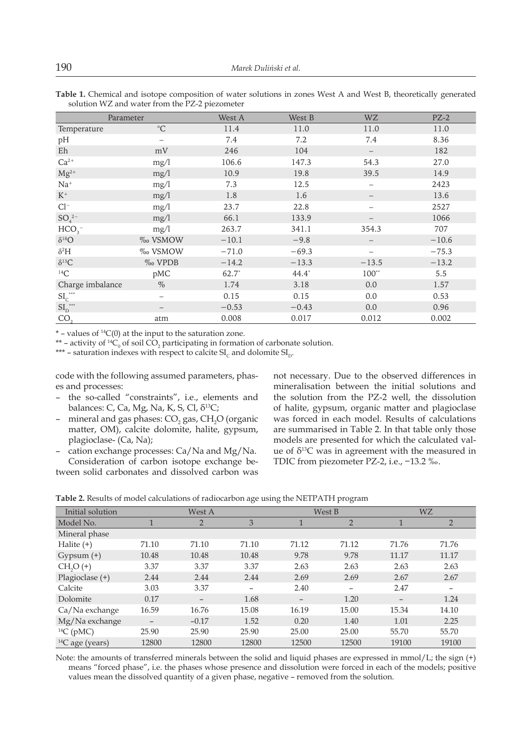| Table 1. Chemical and isotope composition of water solutions in zones West A and West B, theoretically generated |  |  |
|------------------------------------------------------------------------------------------------------------------|--|--|
| solution WZ and water from the PZ-2 piezometer                                                                   |  |  |

| Parameter             |                    | West A   | West B  | WZ         | $PZ-2$  |
|-----------------------|--------------------|----------|---------|------------|---------|
| Temperature           | $\rm ^{\circ}C$    | 11.4     | 11.0    | 11.0       | 11.0    |
| pH                    |                    | 7.4      | 7.2     | 7.4        | 8.36    |
| Eh                    | mV                 | 246      | 104     |            | 182     |
| $Ca^{2+}$             | mg/1               | 106.6    | 147.3   | 54.3       | 27.0    |
| $Mg^{2+}$             | mg/1               | 10.9     | 19.8    | 39.5       | 14.9    |
| $Na+$                 | mg/l               | 7.3      | 12.5    |            | 2423    |
| $K^+$                 | mg/1               | 1.8      | 1.6     |            | 13.6    |
| $Cl^-$                | mg/1               | 23.7     | 22.8    |            | 2527    |
| $SO_4^2$ <sup>-</sup> | mg/l               | 66.1     | 133.9   |            | 1066    |
| HCO <sub>3</sub>      | mg/l               | 263.7    | 341.1   | 354.3      | 707     |
| $\delta^{18}{\rm O}$  | <sub>%</sub> vsmow | $-10.1$  | $-9.8$  |            | $-10.6$ |
| $\delta^2 H$          | <sub>%</sub> vsmow | $-71.0$  | $-69.3$ |            | $-75.3$ |
| $\delta^{13}C$        | ‰ VPDB             | $-14.2$  | $-13.3$ | $-13.5$    | $-13.2$ |
| ${}^{14}C$            | pMC                | $62.7^*$ | 44.4    | $100^{**}$ | 5.5     |
| Charge imbalance      | $\%$               | 1.74     | 3.18    | 0.0        | 1.57    |
| $SI_C$ ***            |                    | 0.15     | 0.15    | 0.0        | 0.53    |
| $SI_D^{\;\;***}$      |                    | $-0.53$  | $-0.43$ | 0.0        | 0.96    |
| CO <sub>2</sub>       | atm                | 0.008    | 0.017   | 0.012      | 0.002   |

 $*$  – values of  ${}^{14}C(0)$  at the input to the saturation zone.

\*\* – activity of <sup>14</sup>C<sub>0</sub> of soil CO<sub>2</sub> participating in formation of carbonate solution.

\*\*\* – saturation indexes with respect to calcite  $SI_c$  and dolomite  $SI_p$ .

code with the following assumed parameters, phases and processes:

- the so-called "constraints", i.e., elements and balances: C, Ca, Mg, Na, K, S, Cl,  $\delta^{13}C$ ;
- mineral and gas phases:  $CO_2$  gas,  $CH_2O$  (organic matter, OM), calcite dolomite, halite, gypsum, plagioclase- (Ca, Na);
- cation exchange processes: Ca/Na and Mg/Na. Consideration of carbon isotope exchange between solid carbonates and dissolved carbon was

not necessary. Due to the observed differences in mineralisation between the initial solutions and the solution from the PZ-2 well, the dissolution of halite, gypsum, organic matter and plagioclase was forced in each model. Results of calculations are summarised in Table 2. In that table only those models are presented for which the calculated value of  $\delta^{13}$ C was in agreement with the measured in TDIC from piezometer PZ-2, i.e., −13.2 ‰.

| Table 2. Results of model calculations of radiocarbon age using the NETPATH program |  |  |
|-------------------------------------------------------------------------------------|--|--|
|-------------------------------------------------------------------------------------|--|--|

| Initial solution  | West A       |                | West B                   |                          |                          | WZ.                      |                 |
|-------------------|--------------|----------------|--------------------------|--------------------------|--------------------------|--------------------------|-----------------|
| Model No.         | $\mathbf{1}$ | $\overline{2}$ | 3                        | 1                        | $\overline{2}$           | 1                        | $\overline{2}$  |
| Mineral phase     |              |                |                          |                          |                          |                          |                 |
| Halite $(+)$      | 71.10        | 71.10          | 71.10                    | 71.12                    | 71.12                    | 71.76                    | 71.76           |
| $Gypsum(+)$       | 10.48        | 10.48          | 10.48                    | 9.78                     | 9.78                     | 11.17                    | 11.17           |
| $CH2O(+)$         | 3.37         | 3.37           | 3.37                     | 2.63                     | 2.63                     | 2.63                     | 2.63            |
| Plagioclase (+)   | 2.44         | 2.44           | 2.44                     | 2.69                     | 2.69                     | 2.67                     | 2.67            |
| Calcite           | 3.03         | 3.37           | $\overline{\phantom{0}}$ | 2.40                     | $\overline{\phantom{0}}$ | 2.47                     | $\qquad \qquad$ |
| Dolomite          | 0.17         | -              | 1.68                     | $\overline{\phantom{a}}$ | 1.20                     | $\overline{\phantom{m}}$ | 1.24            |
| Ca/Na exchange    | 16.59        | 16.76          | 15.08                    | 16.19                    | 15.00                    | 15.34                    | 14.10           |
| Mg/Na exchange    |              | $-0.17$        | 1.52                     | 0.20                     | 1.40                     | 1.01                     | 2.25            |
| $14C$ (pMC)       | 25.90        | 25.90          | 25.90                    | 25.00                    | 25.00                    | 55.70                    | 55.70           |
| $14C$ age (years) | 12800        | 12800          | 12800                    | 12500                    | 12500                    | 19100                    | 19100           |

Note: the amounts of transferred minerals between the solid and liquid phases are expressed in mmol/L; the sign (+) means "forced phase", i.e. the phases whose presence and dissolution were forced in each of the models; positive values mean the dissolved quantity of a given phase, negative – removed from the solution.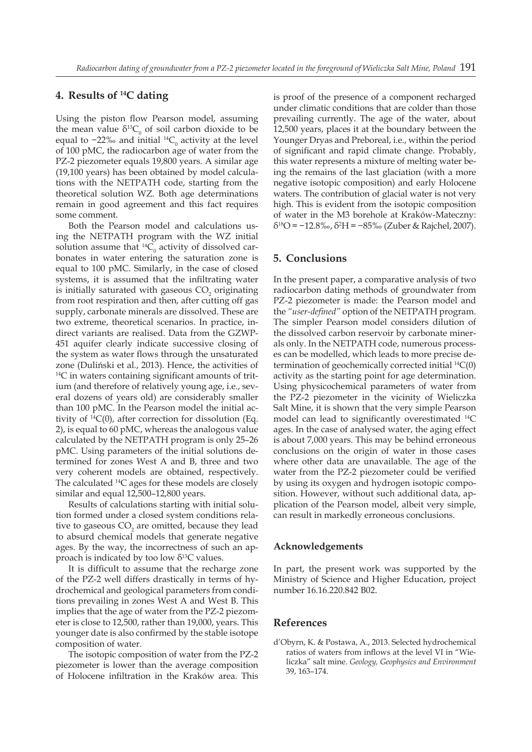# **4. Results of 14C dating**

Using the piston flow Pearson model, assuming the mean value  $\delta^{13}C_{0}$  of soil carbon dioxide to be equal to −22‰ and initial <sup>14</sup>C<sub>0</sub> activity at the level of 100 pMC, the radiocarbon age of water from the PZ-2 piezometer equals 19,800 years. A similar age (19,100 years) has been obtained by model calculations with the NETPATH code, starting from the theoretical solution WZ. Both age determinations remain in good agreement and this fact requires some comment.

Both the Pearson model and calculations using the NETPATH program with the WZ initial solution assume that  $^{14}C_{0}$  activity of dissolved carbonates in water entering the saturation zone is equal to 100 pMC. Similarly, in the case of closed systems, it is assumed that the infiltrating water is initially saturated with gaseous  $CO_2$  originating from root respiration and then, after cutting off gas supply, carbonate minerals are dissolved. These are two extreme, theoretical scenarios. In practice, indirect variants are realised. Data from the GZWP-451 aquifer clearly indicate successive closing of the system as water flows through the unsaturated zone (Duliński et al., 2013). Hence, the activities of  $14C$  in waters containing significant amounts of tritium (and therefore of relatively young age, i.e., several dozens of years old) are considerably smaller than 100 pMC. In the Pearson model the initial activity of  $^{14}C(0)$ , after correction for dissolution (Eq. 2), is equal to 60 pMC, whereas the analogous value calculated by the NETPATH program is only 25–26 pMC. Using parameters of the initial solutions determined for zones West A and B, three and two very coherent models are obtained, respectively. The calculated 14C ages for these models are closely similar and equal 12,500–12,800 years.

Results of calculations starting with initial solution formed under a closed system conditions relative to gaseous  $CO_2$  are omitted, because they lead to absurd chemical models that generate negative ages. By the way, the incorrectness of such an approach is indicated by too low  $\delta^{13}$ C values.

It is difficult to assume that the recharge zone of the PZ-2 well differs drastically in terms of hydrochemical and geological parameters from conditions prevailing in zones West A and West B. This implies that the age of water from the PZ-2 piezometer is close to 12,500, rather than 19,000, years. This younger date is also confirmed by the stable isotope composition of water.

The isotopic composition of water from the PZ-2 piezometer is lower than the average composition of Holocene infiltration in the Kraków area. This

is proof of the presence of a component recharged under climatic conditions that are colder than those prevailing currently. The age of the water, about 12,500 years, places it at the boundary between the Younger Dryas and Preboreal, i.e., within the period of significant and rapid climate change. Probably, this water represents a mixture of melting water being the remains of the last glaciation (with a more negative isotopic composition) and early Holocene waters. The contribution of glacial water is not very high. This is evident from the isotopic composition of water in the M3 borehole at Kraków-Mateczny: δ<sup>18</sup>O = −12.8‰, δ<sup>2</sup> H = −85‰ (Zuber & Rajchel, 2007).

# **5. Conclusions**

In the present paper, a comparative analysis of two radiocarbon dating methods of groundwater from PZ-2 piezometer is made: the Pearson model and the *"user-defined"* option of the NETPATH program. The simpler Pearson model considers dilution of the dissolved carbon reservoir by carbonate minerals only. In the NETPATH code, numerous processes can be modelled, which leads to more precise determination of geochemically corrected initial  $^{14}C(0)$ activity as the starting point for age determination. Using physicochemical parameters of water from the PZ-2 piezometer in the vicinity of Wieliczka Salt Mine, it is shown that the very simple Pearson model can lead to significantly overestimated 14C ages. In the case of analysed water, the aging effect is about 7,000 years. This may be behind erroneous conclusions on the origin of water in those cases where other data are unavailable. The age of the water from the PZ-2 piezometer could be verified by using its oxygen and hydrogen isotopic composition. However, without such additional data, application of the Pearson model, albeit very simple, can result in markedly erroneous conclusions.

#### **Acknowledgements**

In part, the present work was supported by the Ministry of Science and Higher Education, project number 16.16.220.842 B02.

#### **References**

d'Obyrn, K. & Postawa, A., 2013. Selected hydrochemical ratios of waters from inflows at the level VI in "Wieliczka" salt mine. *Geology, Geophysics and Environment* 39, 163–174.